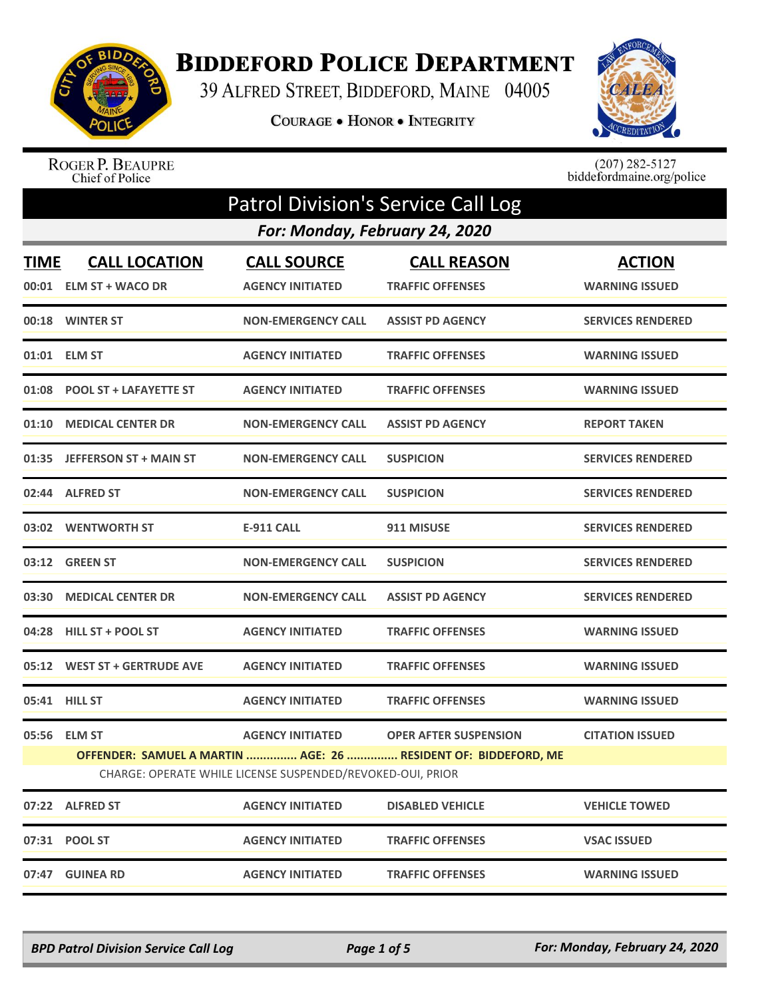

## **BIDDEFORD POLICE DEPARTMENT**

39 ALFRED STREET, BIDDEFORD, MAINE 04005

COURAGE . HONOR . INTEGRITY



ROGER P. BEAUPRE<br>Chief of Police

 $(207)$  282-5127<br>biddefordmaine.org/police

|             | <b>Patrol Division's Service Call Log</b>      |                                                                                       |                                                                                                |                                        |  |  |
|-------------|------------------------------------------------|---------------------------------------------------------------------------------------|------------------------------------------------------------------------------------------------|----------------------------------------|--|--|
|             |                                                | For: Monday, February 24, 2020                                                        |                                                                                                |                                        |  |  |
| <b>TIME</b> | <b>CALL LOCATION</b><br>00:01 ELM ST + WACO DR | <b>CALL SOURCE</b><br><b>AGENCY INITIATED</b>                                         | <b>CALL REASON</b><br><b>TRAFFIC OFFENSES</b>                                                  | <b>ACTION</b><br><b>WARNING ISSUED</b> |  |  |
|             | 00:18 WINTER ST                                | <b>NON-EMERGENCY CALL</b>                                                             | <b>ASSIST PD AGENCY</b>                                                                        | <b>SERVICES RENDERED</b>               |  |  |
|             | 01:01 ELM ST                                   | <b>AGENCY INITIATED</b>                                                               | <b>TRAFFIC OFFENSES</b>                                                                        | <b>WARNING ISSUED</b>                  |  |  |
| 01:08       | <b>POOL ST + LAFAYETTE ST</b>                  | <b>AGENCY INITIATED</b>                                                               | <b>TRAFFIC OFFENSES</b>                                                                        | <b>WARNING ISSUED</b>                  |  |  |
| 01:10       | <b>MEDICAL CENTER DR</b>                       | <b>NON-EMERGENCY CALL</b>                                                             | <b>ASSIST PD AGENCY</b>                                                                        | <b>REPORT TAKEN</b>                    |  |  |
| 01:35       | <b>JEFFERSON ST + MAIN ST</b>                  | <b>NON-EMERGENCY CALL</b>                                                             | <b>SUSPICION</b>                                                                               | <b>SERVICES RENDERED</b>               |  |  |
| 02:44       | <b>ALFRED ST</b>                               | <b>NON-EMERGENCY CALL</b>                                                             | <b>SUSPICION</b>                                                                               | <b>SERVICES RENDERED</b>               |  |  |
|             | 03:02 WENTWORTH ST                             | <b>E-911 CALL</b>                                                                     | 911 MISUSE                                                                                     | <b>SERVICES RENDERED</b>               |  |  |
|             | 03:12 GREEN ST                                 | <b>NON-EMERGENCY CALL</b>                                                             | <b>SUSPICION</b>                                                                               | <b>SERVICES RENDERED</b>               |  |  |
| 03:30       | <b>MEDICAL CENTER DR</b>                       | <b>NON-EMERGENCY CALL</b>                                                             | <b>ASSIST PD AGENCY</b>                                                                        | <b>SERVICES RENDERED</b>               |  |  |
| 04:28       | <b>HILL ST + POOL ST</b>                       | <b>AGENCY INITIATED</b>                                                               | <b>TRAFFIC OFFENSES</b>                                                                        | <b>WARNING ISSUED</b>                  |  |  |
| 05:12       | <b>WEST ST + GERTRUDE AVE</b>                  | <b>AGENCY INITIATED</b>                                                               | <b>TRAFFIC OFFENSES</b>                                                                        | <b>WARNING ISSUED</b>                  |  |  |
|             | 05:41 HILL ST                                  | <b>AGENCY INITIATED</b>                                                               | <b>TRAFFIC OFFENSES</b>                                                                        | <b>WARNING ISSUED</b>                  |  |  |
| 05:56       | <b>ELM ST</b>                                  | <b>AGENCY INITIATED</b><br>CHARGE: OPERATE WHILE LICENSE SUSPENDED/REVOKED-OUI, PRIOR | <b>OPER AFTER SUSPENSION</b><br>OFFENDER: SAMUEL A MARTIN  AGE: 26  RESIDENT OF: BIDDEFORD, ME | <b>CITATION ISSUED</b>                 |  |  |
|             | 07:22 ALFRED ST                                | <b>AGENCY INITIATED</b>                                                               | <b>DISABLED VEHICLE</b>                                                                        | <b>VEHICLE TOWED</b>                   |  |  |
|             | 07:31 POOL ST                                  | <b>AGENCY INITIATED</b>                                                               | <b>TRAFFIC OFFENSES</b>                                                                        | <b>VSAC ISSUED</b>                     |  |  |
| 07:47       | <b>GUINEA RD</b>                               | <b>AGENCY INITIATED</b>                                                               | <b>TRAFFIC OFFENSES</b>                                                                        | <b>WARNING ISSUED</b>                  |  |  |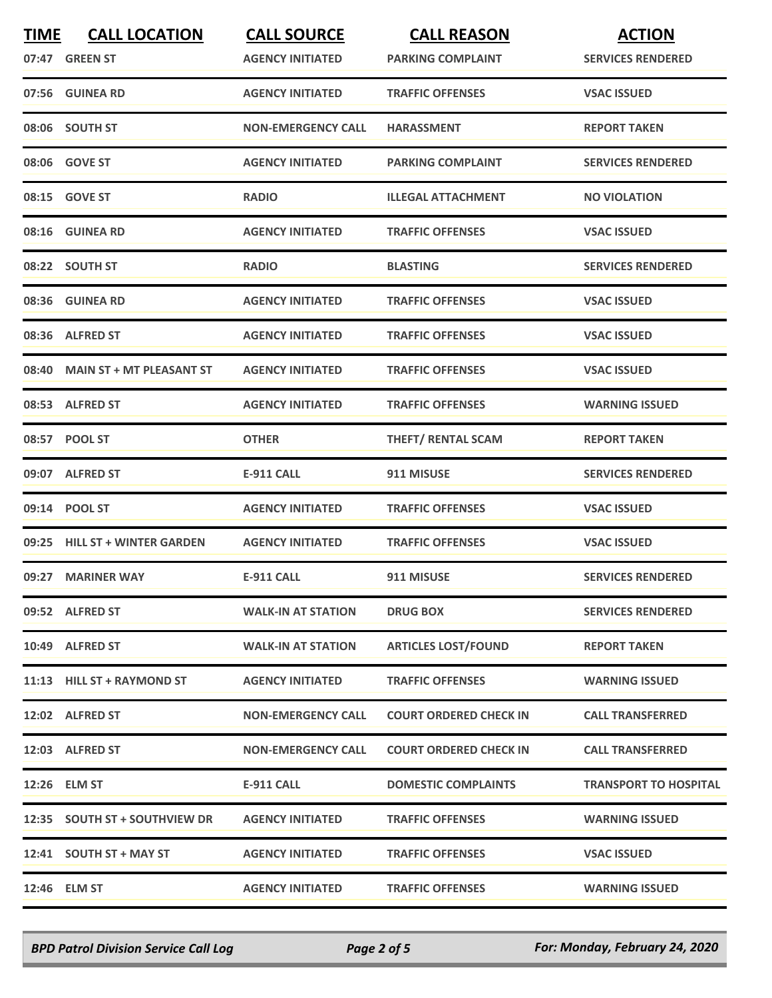| <b>TIME</b> | <b>CALL LOCATION</b><br>07:47 GREEN ST | <b>CALL SOURCE</b><br><b>AGENCY INITIATED</b> | <b>CALL REASON</b><br><b>PARKING COMPLAINT</b> | <b>ACTION</b><br><b>SERVICES RENDERED</b> |
|-------------|----------------------------------------|-----------------------------------------------|------------------------------------------------|-------------------------------------------|
|             | 07:56 GUINEA RD                        | <b>AGENCY INITIATED</b>                       | <b>TRAFFIC OFFENSES</b>                        | <b>VSAC ISSUED</b>                        |
|             | 08:06 SOUTH ST                         | <b>NON-EMERGENCY CALL</b>                     | <b>HARASSMENT</b>                              | <b>REPORT TAKEN</b>                       |
|             | 08:06 GOVE ST                          | <b>AGENCY INITIATED</b>                       | <b>PARKING COMPLAINT</b>                       | <b>SERVICES RENDERED</b>                  |
|             | 08:15 GOVE ST                          | <b>RADIO</b>                                  | <b>ILLEGAL ATTACHMENT</b>                      | <b>NO VIOLATION</b>                       |
|             | 08:16 GUINEA RD                        | <b>AGENCY INITIATED</b>                       | <b>TRAFFIC OFFENSES</b>                        | <b>VSAC ISSUED</b>                        |
|             | 08:22 SOUTH ST                         | <b>RADIO</b>                                  | <b>BLASTING</b>                                | <b>SERVICES RENDERED</b>                  |
|             | 08:36 GUINEA RD                        | <b>AGENCY INITIATED</b>                       | <b>TRAFFIC OFFENSES</b>                        | <b>VSAC ISSUED</b>                        |
|             | 08:36 ALFRED ST                        | <b>AGENCY INITIATED</b>                       | <b>TRAFFIC OFFENSES</b>                        | <b>VSAC ISSUED</b>                        |
|             | 08:40 MAIN ST + MT PLEASANT ST         | <b>AGENCY INITIATED</b>                       | <b>TRAFFIC OFFENSES</b>                        | <b>VSAC ISSUED</b>                        |
|             | 08:53 ALFRED ST                        | <b>AGENCY INITIATED</b>                       | <b>TRAFFIC OFFENSES</b>                        | <b>WARNING ISSUED</b>                     |
|             | 08:57 POOL ST                          | <b>OTHER</b>                                  | <b>THEFT/ RENTAL SCAM</b>                      | <b>REPORT TAKEN</b>                       |
|             | 09:07 ALFRED ST                        | <b>E-911 CALL</b>                             | 911 MISUSE                                     | <b>SERVICES RENDERED</b>                  |
|             | 09:14 POOL ST                          | <b>AGENCY INITIATED</b>                       | <b>TRAFFIC OFFENSES</b>                        | <b>VSAC ISSUED</b>                        |
|             | 09:25 HILL ST + WINTER GARDEN          | <b>AGENCY INITIATED</b>                       | <b>TRAFFIC OFFENSES</b>                        | <b>VSAC ISSUED</b>                        |
|             | 09:27 MARINER WAY                      | <b>E-911 CALL</b>                             | 911 MISUSE                                     | <b>SERVICES RENDERED</b>                  |
|             | 09:52 ALFRED ST                        | <b>WALK-IN AT STATION</b>                     | <b>DRUG BOX</b>                                | <b>SERVICES RENDERED</b>                  |
|             | 10:49 ALFRED ST                        | <b>WALK-IN AT STATION</b>                     | <b>ARTICLES LOST/FOUND</b>                     | <b>REPORT TAKEN</b>                       |
|             | 11:13 HILL ST + RAYMOND ST             | <b>AGENCY INITIATED</b>                       | <b>TRAFFIC OFFENSES</b>                        | <b>WARNING ISSUED</b>                     |
|             | 12:02 ALFRED ST                        | <b>NON-EMERGENCY CALL</b>                     | <b>COURT ORDERED CHECK IN</b>                  | <b>CALL TRANSFERRED</b>                   |
|             | 12:03 ALFRED ST                        | <b>NON-EMERGENCY CALL</b>                     | <b>COURT ORDERED CHECK IN</b>                  | <b>CALL TRANSFERRED</b>                   |
|             | 12:26 ELM ST                           | <b>E-911 CALL</b>                             | <b>DOMESTIC COMPLAINTS</b>                     | <b>TRANSPORT TO HOSPITAL</b>              |
|             | 12:35 SOUTH ST + SOUTHVIEW DR          | <b>AGENCY INITIATED</b>                       | <b>TRAFFIC OFFENSES</b>                        | <b>WARNING ISSUED</b>                     |
|             | 12:41 SOUTH ST + MAY ST                | <b>AGENCY INITIATED</b>                       | <b>TRAFFIC OFFENSES</b>                        | <b>VSAC ISSUED</b>                        |
|             | 12:46 ELM ST                           | <b>AGENCY INITIATED</b>                       | <b>TRAFFIC OFFENSES</b>                        | <b>WARNING ISSUED</b>                     |

*BPD Patrol Division Service Call Log Page 2 of 5 For: Monday, February 24, 2020*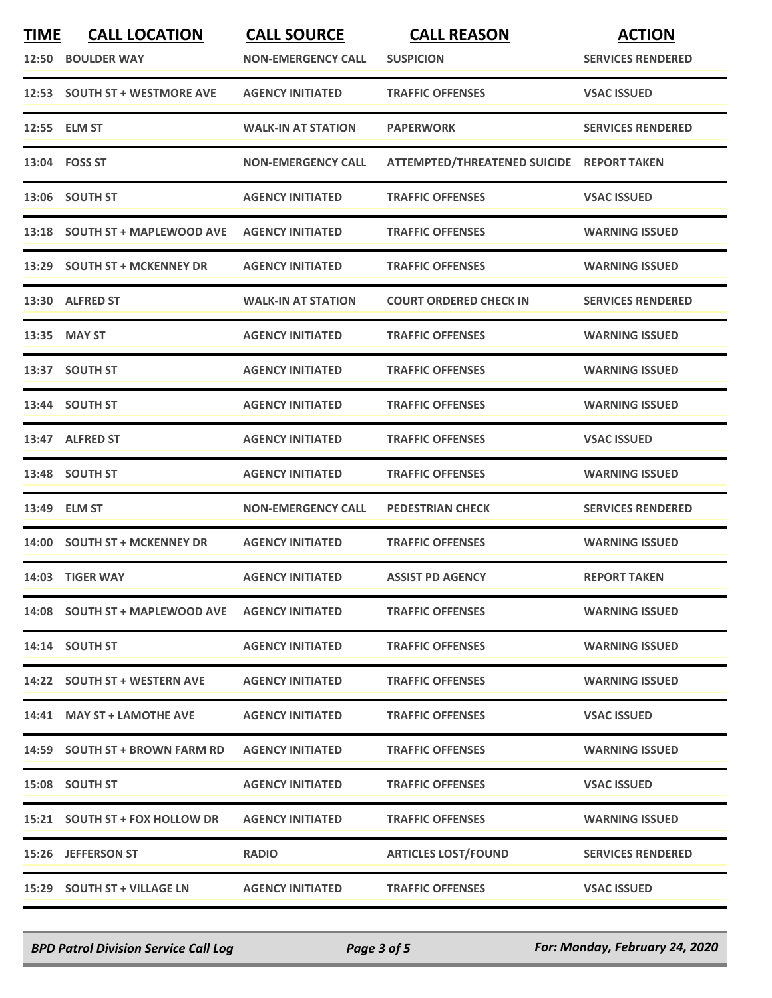| <b>TIME</b> | <b>CALL LOCATION</b><br>12:50 BOULDER WAY       | <b>CALL SOURCE</b><br><b>NON-EMERGENCY CALL</b> | <b>CALL REASON</b><br><b>SUSPICION</b>    | <b>ACTION</b><br><b>SERVICES RENDERED</b> |
|-------------|-------------------------------------------------|-------------------------------------------------|-------------------------------------------|-------------------------------------------|
|             | 12:53 SOUTH ST + WESTMORE AVE                   | <b>AGENCY INITIATED</b>                         | <b>TRAFFIC OFFENSES</b>                   | <b>VSAC ISSUED</b>                        |
|             | 12:55 ELM ST                                    | <b>WALK-IN AT STATION</b>                       | <b>PAPERWORK</b>                          | <b>SERVICES RENDERED</b>                  |
|             | 13:04 FOSS ST                                   | <b>NON-EMERGENCY CALL</b>                       | ATTEMPTED/THREATENED SUICIDE REPORT TAKEN |                                           |
|             | 13:06 SOUTH ST                                  | <b>AGENCY INITIATED</b>                         | <b>TRAFFIC OFFENSES</b>                   | <b>VSAC ISSUED</b>                        |
|             | 13:18 SOUTH ST + MAPLEWOOD AVE                  | <b>AGENCY INITIATED</b>                         | <b>TRAFFIC OFFENSES</b>                   | <b>WARNING ISSUED</b>                     |
| 13:29       | <b>SOUTH ST + MCKENNEY DR</b>                   | <b>AGENCY INITIATED</b>                         | <b>TRAFFIC OFFENSES</b>                   | <b>WARNING ISSUED</b>                     |
|             | 13:30 ALFRED ST                                 | <b>WALK-IN AT STATION</b>                       | <b>COURT ORDERED CHECK IN</b>             | <b>SERVICES RENDERED</b>                  |
|             | 13:35 MAY ST                                    | <b>AGENCY INITIATED</b>                         | <b>TRAFFIC OFFENSES</b>                   | <b>WARNING ISSUED</b>                     |
|             | 13:37 SOUTH ST                                  | <b>AGENCY INITIATED</b>                         | <b>TRAFFIC OFFENSES</b>                   | <b>WARNING ISSUED</b>                     |
|             | 13:44 SOUTH ST                                  | <b>AGENCY INITIATED</b>                         | <b>TRAFFIC OFFENSES</b>                   | <b>WARNING ISSUED</b>                     |
|             | 13:47 ALFRED ST                                 | <b>AGENCY INITIATED</b>                         | <b>TRAFFIC OFFENSES</b>                   | <b>VSAC ISSUED</b>                        |
|             | 13:48 SOUTH ST                                  | <b>AGENCY INITIATED</b>                         | <b>TRAFFIC OFFENSES</b>                   | <b>WARNING ISSUED</b>                     |
| 13:49       | <b>ELM ST</b>                                   | <b>NON-EMERGENCY CALL</b>                       | <b>PEDESTRIAN CHECK</b>                   | <b>SERVICES RENDERED</b>                  |
|             | 14:00 SOUTH ST + MCKENNEY DR                    | <b>AGENCY INITIATED</b>                         | <b>TRAFFIC OFFENSES</b>                   | <b>WARNING ISSUED</b>                     |
|             | 14:03 TIGER WAY                                 | <b>AGENCY INITIATED</b>                         | <b>ASSIST PD AGENCY</b>                   | <b>REPORT TAKEN</b>                       |
|             | 14:08 SOUTH ST + MAPLEWOOD AVE AGENCY INITIATED |                                                 | <b>TRAFFIC OFFENSES</b>                   | <b>WARNING ISSUED</b>                     |
|             | 14:14 SOUTH ST                                  | <b>AGENCY INITIATED</b>                         | <b>TRAFFIC OFFENSES</b>                   | <b>WARNING ISSUED</b>                     |
|             | 14:22 SOUTH ST + WESTERN AVE                    | <b>AGENCY INITIATED</b>                         | <b>TRAFFIC OFFENSES</b>                   | <b>WARNING ISSUED</b>                     |
|             | 14:41 MAY ST + LAMOTHE AVE                      | <b>AGENCY INITIATED</b>                         | <b>TRAFFIC OFFENSES</b>                   | <b>VSAC ISSUED</b>                        |
|             | 14:59 SOUTH ST + BROWN FARM RD                  | <b>AGENCY INITIATED</b>                         | <b>TRAFFIC OFFENSES</b>                   | <b>WARNING ISSUED</b>                     |
|             | 15:08 SOUTH ST                                  | <b>AGENCY INITIATED</b>                         | <b>TRAFFIC OFFENSES</b>                   | <b>VSAC ISSUED</b>                        |
|             | 15:21 SOUTH ST + FOX HOLLOW DR                  | <b>AGENCY INITIATED</b>                         | <b>TRAFFIC OFFENSES</b>                   | <b>WARNING ISSUED</b>                     |
|             | 15:26 JEFFERSON ST                              | <b>RADIO</b>                                    | <b>ARTICLES LOST/FOUND</b>                | <b>SERVICES RENDERED</b>                  |
|             | 15:29 SOUTH ST + VILLAGE LN                     | <b>AGENCY INITIATED</b>                         | <b>TRAFFIC OFFENSES</b>                   | <b>VSAC ISSUED</b>                        |

*BPD Patrol Division Service Call Log Page 3 of 5 For: Monday, February 24, 2020*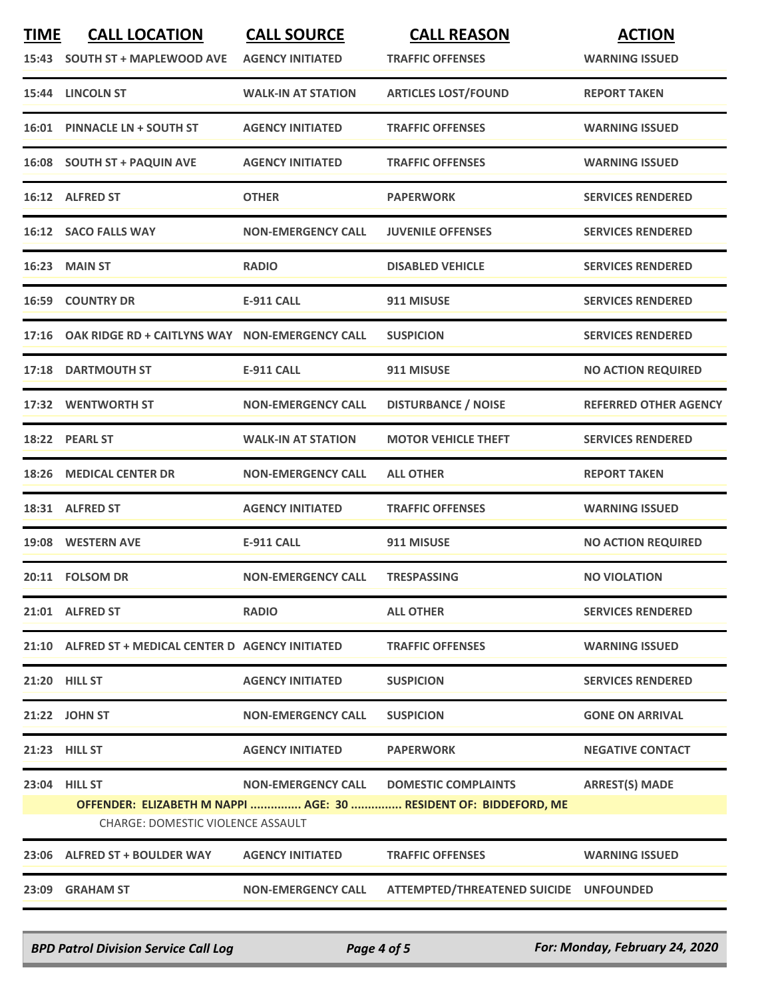| <b>TIME</b> | <b>CALL LOCATION</b><br>15:43 SOUTH ST + MAPLEWOOD AVE    | <b>CALL SOURCE</b><br><b>AGENCY INITIATED</b> | <b>CALL REASON</b><br><b>TRAFFIC OFFENSES</b>                                                  | <b>ACTION</b><br><b>WARNING ISSUED</b> |
|-------------|-----------------------------------------------------------|-----------------------------------------------|------------------------------------------------------------------------------------------------|----------------------------------------|
|             | 15:44 LINCOLN ST                                          | <b>WALK-IN AT STATION</b>                     | <b>ARTICLES LOST/FOUND</b>                                                                     | <b>REPORT TAKEN</b>                    |
|             | 16:01 PINNACLE LN + SOUTH ST                              | <b>AGENCY INITIATED</b>                       | <b>TRAFFIC OFFENSES</b>                                                                        | <b>WARNING ISSUED</b>                  |
|             | 16:08 SOUTH ST + PAQUIN AVE                               | <b>AGENCY INITIATED</b>                       | <b>TRAFFIC OFFENSES</b>                                                                        | <b>WARNING ISSUED</b>                  |
|             | 16:12 ALFRED ST                                           | <b>OTHER</b>                                  | <b>PAPERWORK</b>                                                                               | <b>SERVICES RENDERED</b>               |
|             | 16:12 SACO FALLS WAY                                      | <b>NON-EMERGENCY CALL</b>                     | <b>JUVENILE OFFENSES</b>                                                                       | <b>SERVICES RENDERED</b>               |
|             | 16:23 MAIN ST                                             | <b>RADIO</b>                                  | <b>DISABLED VEHICLE</b>                                                                        | <b>SERVICES RENDERED</b>               |
|             | <b>16:59 COUNTRY DR</b>                                   | <b>E-911 CALL</b>                             | 911 MISUSE                                                                                     | <b>SERVICES RENDERED</b>               |
|             | 17:16 OAK RIDGE RD + CAITLYNS WAY NON-EMERGENCY CALL      |                                               | <b>SUSPICION</b>                                                                               | <b>SERVICES RENDERED</b>               |
|             | 17:18 DARTMOUTH ST                                        | <b>E-911 CALL</b>                             | 911 MISUSE                                                                                     | <b>NO ACTION REQUIRED</b>              |
|             | 17:32 WENTWORTH ST                                        | <b>NON-EMERGENCY CALL</b>                     | <b>DISTURBANCE / NOISE</b>                                                                     | <b>REFERRED OTHER AGENCY</b>           |
|             | 18:22 PEARL ST                                            | <b>WALK-IN AT STATION</b>                     | <b>MOTOR VEHICLE THEFT</b>                                                                     | <b>SERVICES RENDERED</b>               |
|             | 18:26 MEDICAL CENTER DR                                   | <b>NON-EMERGENCY CALL</b>                     | <b>ALL OTHER</b>                                                                               | <b>REPORT TAKEN</b>                    |
|             | 18:31 ALFRED ST                                           | <b>AGENCY INITIATED</b>                       | <b>TRAFFIC OFFENSES</b>                                                                        | <b>WARNING ISSUED</b>                  |
|             | 19:08 WESTERN AVE                                         | <b>E-911 CALL</b>                             | 911 MISUSE                                                                                     | <b>NO ACTION REQUIRED</b>              |
|             | 20:11 FOLSOM DR                                           | <b>NON-EMERGENCY CALL</b>                     | <b>TRESPASSING</b>                                                                             | <b>NO VIOLATION</b>                    |
|             | 21:01 ALFRED ST                                           | <b>RADIO</b>                                  | <b>ALL OTHER</b>                                                                               | <b>SERVICES RENDERED</b>               |
|             | 21:10 ALFRED ST + MEDICAL CENTER D AGENCY INITIATED       |                                               | <b>TRAFFIC OFFENSES</b>                                                                        | <b>WARNING ISSUED</b>                  |
|             | 21:20 HILL ST                                             | <b>AGENCY INITIATED</b>                       | <b>SUSPICION</b>                                                                               | <b>SERVICES RENDERED</b>               |
|             | 21:22 JOHN ST                                             | <b>NON-EMERGENCY CALL</b>                     | <b>SUSPICION</b>                                                                               | <b>GONE ON ARRIVAL</b>                 |
|             | 21:23 HILL ST                                             | <b>AGENCY INITIATED</b>                       | <b>PAPERWORK</b>                                                                               | <b>NEGATIVE CONTACT</b>                |
|             | 23:04 HILL ST<br><b>CHARGE: DOMESTIC VIOLENCE ASSAULT</b> | <b>NON-EMERGENCY CALL</b>                     | <b>DOMESTIC COMPLAINTS</b><br>OFFENDER: ELIZABETH M NAPPI  AGE: 30  RESIDENT OF: BIDDEFORD, ME | <b>ARREST(S) MADE</b>                  |
|             | 23:06 ALFRED ST + BOULDER WAY                             | <b>AGENCY INITIATED</b>                       | <b>TRAFFIC OFFENSES</b>                                                                        | <b>WARNING ISSUED</b>                  |
|             | 23:09 GRAHAM ST                                           | <b>NON-EMERGENCY CALL</b>                     | ATTEMPTED/THREATENED SUICIDE UNFOUNDED                                                         |                                        |

*BPD Patrol Division Service Call Log Page 4 of 5 For: Monday, February 24, 2020*